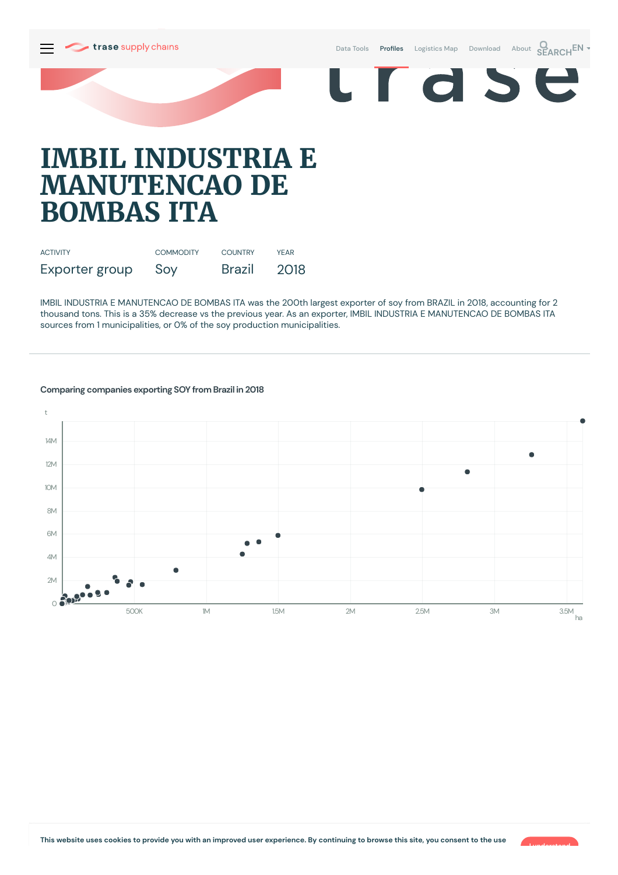

Data [Tools](https://supplychains.trase.earth/explore) **Profiles** [Logistics](https://supplychains.trase.earth/logistics-map) Map [Download](https://supplychains.trase.earth/data) [About](https://supplychains.trase.earth/about) **SEARCH<sup>EN</sup>** 

r d S

# **IMBIL INDUSTRIA E MANUTENCAO DE BOMBAS ITA**

| <b>ACTIVITY</b> | <b>COMMODITY</b> | <b>COUNTRY</b> | <b>YFAR</b> |
|-----------------|------------------|----------------|-------------|
| Exporter group  | Soy              | Brazil         | 2018        |

IMBIL INDUSTRIA E MANUTENCAO DE BOMBAS ITA was the 200th largest exporter of soy from BRAZIL in 2018, accounting for 2 thousand tons. This is a 35% decrease vs the previous year. As an exporter, IMBIL INDUSTRIA E MANUTENCAO DE BOMBAS ITA sources from 1 municipalities, or 0% of the soy production municipalities.



## **Comparing companies exporting SOY from Brazil in 2018**

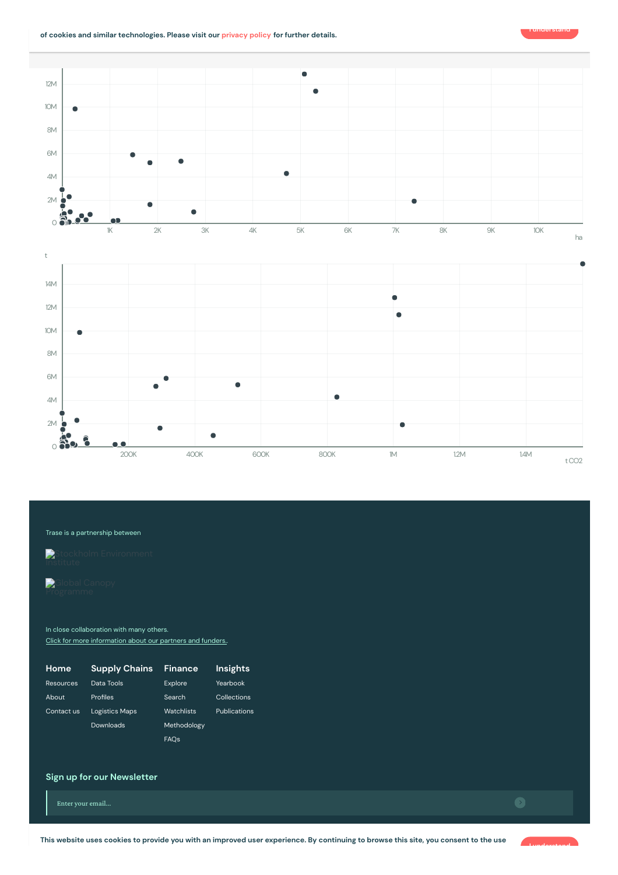



#### Trase is a partnership between



In close collaboration with many others. Click for more [information](https://www.trase.earth/about/) about our partners and funders.

| Home       | <b>Supply Chains</b>  | <b>Finance</b> | Insights     |
|------------|-----------------------|----------------|--------------|
| Resources  | Data Tools            | Explore        | Yearbook     |
| About      | Profiles              | Search         | Collections  |
| Contact us | <b>Logistics Maps</b> | Watchlists     | Publications |
|            | Downloads             | Methodology    |              |
|            |                       | <b>FAOs</b>    |              |

## **Sign up for our Newsletter**

Enter your email...

This website uses cookies to provide you with an improved user experience. By continuing to browse this site, you consent to the use



**I understand**